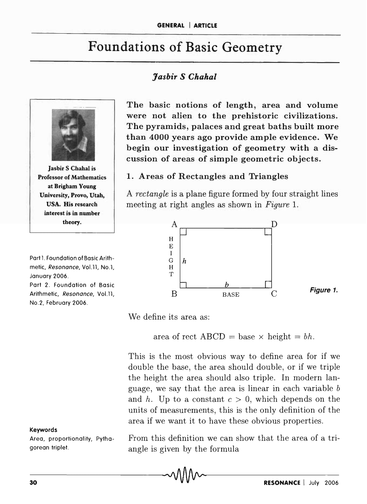# Foundations of Basic Geometry

# *Jasbir S Chahal*



Jasbir S Chahal is Professor of Mathematics at Brigham Young University, Provo, Utah, USA. His research interest is in number theory.

Part 1. Foundation of Basic Arithmetic, Resonance, VoLll, No.1, January 2006. Part 2. Foundation of Basic Arithmetic, Resonance, Vol.11, No.2, February 2006.

#### Keywords

Area, proportionality, Pythagorean triplet.

The basic notions of length, area and volume were not alien to the prehistoric civilizations. The pyramids, palaces and great baths built more than 4000 years ago provide ample evidence. We begin our investigation of geometry with a discussion of areas of simple geometric objects.

#### 1. Areas of Rectangles and Triangles

A *rectangle* is a plane figure formed by four straight lines meeting at right angles as shown in *Figure 1.* 



We define its area as:

area of rect  $\text{ABCD} = \text{base} \times \text{height} = bh$ .

This is the most obvious way to define area for if we double the base, the area should double, or if we triple the height the area should also triple. In modern language, we say that the area is linear in each variable *b*  and *h*. Up to a constant  $c > 0$ , which depends on the units of measurements, this is the only definition of the area if we want it to have these obvious properties.

From this definition we can show that the area of a triangle is given by the formula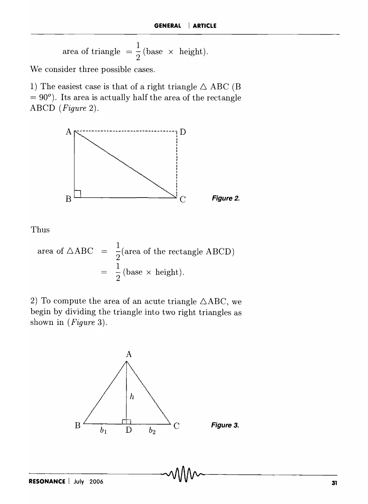area of triangle = 
$$
\frac{1}{2}
$$
 (base × height).

We consider three possible cases.

1) The easiest case is that of a right triangle  $\triangle$  ABC (B)  $= 90^\circ$ . Its area is actually half the area of the rectangle ABCD *(Figure 2).* 



Thus

area of 
$$
\triangle ABC
$$
 =  $\frac{1}{2}$ (area of the rectangle ABCD)  
=  $\frac{1}{2}$  (base × height).

2) To compute the area of an acute triangle  $\triangle ABC$ , we begin by dividing the triangle into two right triangles as shown in *(Figure* 3).

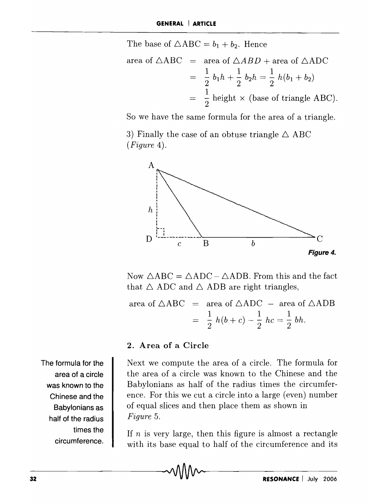The base of  $\triangle ABC = b_1 + b_2$ . Hence

area of 
$$
\triangle ABC
$$
 = area of  $\triangle ABD$  + area of  $\triangle ADC$   
=  $\frac{1}{2} b_1 h + \frac{1}{2} b_2 h = \frac{1}{2} h(b_1 + b_2)$   
=  $\frac{1}{2}$  height × (base of triangle ABC).

So we have the same formula for the area of a triangle.

3) Finally the case of an obtuse triangle  $\triangle$  ABC *(Figure 4).* 



Now  $\triangle ABC = \triangle ADC - \triangle ADB$ . From this and the fact that  $\triangle$  ADC and  $\triangle$  ADB are right triangles,

area of  $\triangle ABC$  = area of  $\triangle ADC$  - area of  $\triangle ADB$  $=\frac{1}{2}h(b+c)-\frac{1}{2}hc=\frac{1}{2}bh.$ 

#### **2. Area of a Circle**

Next we compute the area of a circle. The formula for the area of a circle was known to the Chinese and the Babylonians as half of the radius times the circumference. For this we cut a circle into a large (even) number of equal slices and then place them as shown in *Figure 5.* 

If *n* is very large, then this figure is almost a rectangle with its base equal to half of the circumference and its

**The formula for the area of a circle was known to the Chinese and the Babylonians as half of the radius times the circumference.**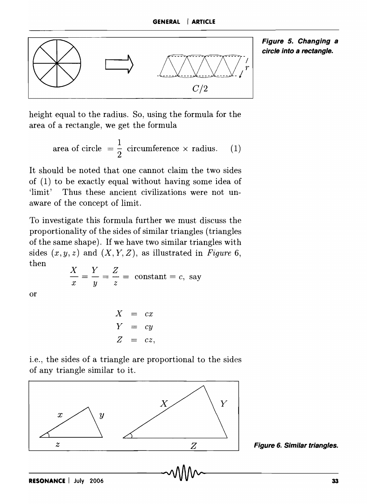

**Figure 5. Changing a circle into a rectangle.** 

height equal to the radius. So, using the formula for the area of a rectangle, we get the formula

area of circle 
$$
=\frac{1}{2}
$$
 circumference  $\times$  radius. (1)

It should be noted that one cannot claim the two sides of (1) to be exactly equal without having some idea of 'limit' Thus these ancient civilizations were not unaware of the concept of limit.

To investigate this formula further we must discuss the proportionality of the sides of similar triangles (triangles of the same shape). If we have two similar triangles with sides  $(x, y, z)$  and  $(X, Y, Z)$ , as illustrated in *Figure 6*, then *X Y Z* 

or

$$
\frac{dx}{x} = \frac{1}{y} = \frac{2}{z} = \text{constant} = c, \text{ say}
$$

$$
X = cx
$$
  
\n
$$
Y = cy
$$
  
\n
$$
Z = cz,
$$

i.e., the sides of a triangle are proportional to the sides of any triangle similar to it.



**Figure 6. Similar triangles.**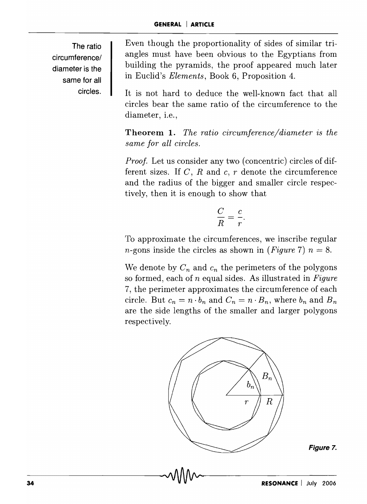**The ratio circumference/ diameter is the same for all circles.** 

Even though the proportionality of sides of similar triangles must have been obvious to the Egyptians from building the pyramids, the proof appeared much later in Euclid's *Elements,* Book 6, Proposition 4.

It is not hard to deduce the well-known fact that all circles bear the same ratio of the circumference to the diameter, i.e.,

**Theorem 1.** *The ratio circumference/diameter is the same for all circles.* 

*Proof.* Let us consider any two (concentric) circles of different sizes. If C, R and c, r denote the circumference and the radius of the bigger and smaller circle respectively, then it is enough to show that

$$
\frac{C}{R} = \frac{c}{r}.
$$

To approximate the circumferences, we inscribe regular *n*-gons inside the circles as shown in *(Figure 7)*  $n = 8$ .

We denote by  $C_n$  and  $c_n$  the perimeters of the polygons so formed, each of *n* equal sides. As illustrated in *Figure*  7, the perimeter approximates the circumference of each circle. But  $c_n = n \cdot b_n$  and  $C_n = n \cdot B_n$ , where  $b_n$  and  $B_n$ are the side lengths of the smaller and larger polygons respectively.



**Figure 7.**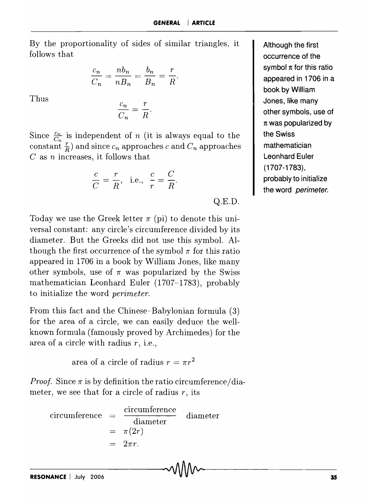By the proportionality of sides of similar triangles, it follows that

$$
\frac{c_n}{C_n} = \frac{nb_n}{nB_n} = \frac{b_n}{B_n} = \frac{r}{R}.
$$

Thus

$$
\frac{c_n}{C_n} = \frac{r}{R}
$$

Since  $\frac{c_n}{C_n}$  is independent of *n* (it is always equal to the constant  $\frac{r}{R}$  and since  $c_n$  approaches *c* and  $C_n$  approaches *C* as *n* increases, it follows that<br> $\frac{c}{C} = \frac{r}{R}$ , i.e.,  $\frac{c}{r} = \frac{C}{R}$ . C as *n* increases, it follows that

$$
\frac{c}{C} = \frac{r}{R}, \text{ i.e., } \frac{c}{r} = \frac{C}{R}.
$$

Q.E.D.

Today we use the Greek letter  $\pi$  (pi) to denote this universal constant: any circle's circumference divided by its diameter. But the Greeks did not use this symbol. Although the first occurrence of the symbol  $\pi$  for this ratio appeared in 1706 in a book by William Jones, like many other symbols, use of  $\pi$  was popularized by the Swiss mathematician Leonhard Euler (1707-1783), probably to initialize the word *perimeter.* 

From this fact and the Chinese-Babylonian formula (3) for the area of a circle, we can easily deduce the wellknown formula (famously proved by Archimedes) for the area of a circle with radius *r,* i.e.,

area of a circle of radius  $r = \pi r^2$ 

*Proof.* Since  $\pi$  is by definition the ratio circumference/diameter, we see that for a circle of radius *r,* its

$$
\begin{array}{rcl}\n\text{circumference} & = & \frac{\text{circumference}}{\text{diameter}} & \text{diameter} \\
& = & \pi(2r) \\
& = & 2\pi r.\n\end{array}
$$

**Although the first occurrence of the**  symbol  $\pi$  for this ratio **appeared in 1706 in a book by William Jones, like many other symbols, use of 1t was popularized by the Swiss mathematician Leonhard Euler (1707-1783), probably to initialize the word perimeter.**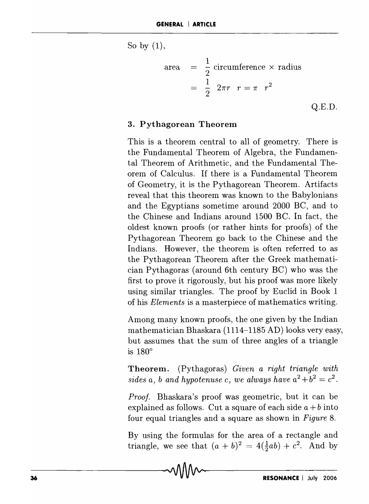So by  $(1)$ ,

area 
$$
= \frac{1}{2}
$$
 circumference  $\times$  radius  

$$
= \frac{1}{2} 2\pi r \quad r = \pi \quad r^2
$$
Q.E.D.

### 3. Pythagorean Theorem

This is a theorem central to all of geometry. There is the Fundamental Theorem of Algebra, the Fundamental Theorem of Arithmetic, and the Fundamental Theorem of Calculus. If there is a Fundamental Theorem of Geometry, it is the Pythagorean Theorem. Artifacts reveal that this theorem was known to the Babylonians and the Egyptians sometime around 2000 BC, and to the Chinese and Indians around 1500 BC. In fact, the oldest known proofs (or rather hints for proofs) of the Pythagorean Theorem go back to the Chinese and the Indians. However, the theorem is often referred to as the Pythagorean Theorem after the Greek mathematician Pythagoras (around 6th century BC) who was the first to prove it rigorously, but his proof was more likely using similar triangles. The proof by Euclid in Book 1 of his *Elements* is a masterpiece of mathematics writing.

Among many known proofs, the one given by the Indian mathematician Bhaskara (1114-1185 AD) looks very easy, but assumes that the sum of three angles of a triangle is  $180^\circ$ 

Theorem. (Pythagoras) *Given a right triangle with sides a, b and hypotenuse c, we always have*  $a^2 + b^2 = c^2$ *.* 

*Proof.* Bhaskara's proof was geometric, but it can be explained as follows. Cut a square of each side  $a + b$  into four equal triangles and a square as shown in *Figure 8.* 

By using the formulas for the area of a rectangle and triangle, we see that  $(a + b)^2 = 4(\frac{1}{2}ab) + c^2$ . And by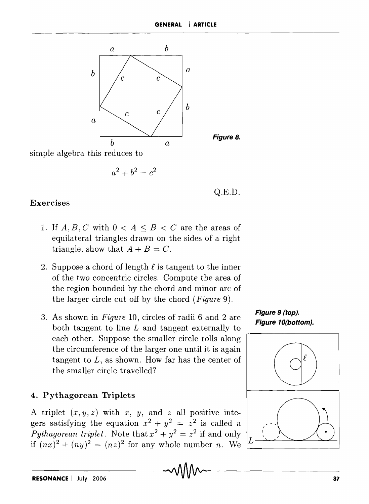

simple algebra this reduces to

$$
a^2 + b^2 = c^2
$$

Q.E.D.

Figure 8.

# Exercises

- 1. If  $A, B, C$  with  $0 < A \leq B < C$  are the areas of equilateral triangles drawn on the sides of a right triangle, show that  $A + B = C$ .
- 2. Suppose a chord of length  $\ell$  is tangent to the inner of the two concentric circles. Compute the area of the region bounded by the chord and minor arc of the larger circle cut off by the chord *(Figure* g).
- 3. As shown in *Figure* 10, circles of radii 6 and 2 are both tangent to line  $L$  and tangent externally to each other. Suppose the smaller circle rolls along the circumference of the larger one until it is again tangent to *L,* as shown. How far has the center of the smaller circle travelled?

# 4. Pythagorean Triplets

A triplet  $(x, y, z)$  with x, y, and z all positive integers satisfying the equation  $x^2 + y^2 = z^2$  is called a *Pythagorean triplet*. Note that  $x^2 + y^2 = z^2$  if and only if  $(nx)^2 + (ny)^2 = (nz)^2$  for any whole number *n*. We

Figure 9 (top). Figure 10(bottom).

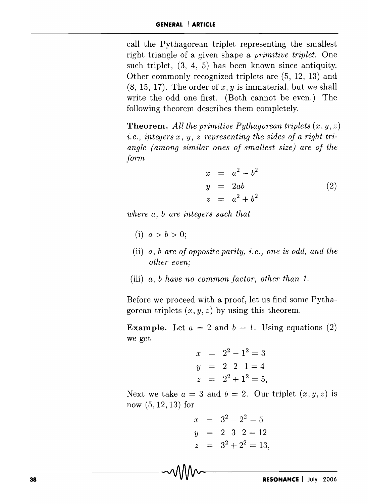call the Pythagorean triplet representing the smallest right triangle of a given shape a *primitive triplet.* One such triplet, (3, 4, 5) has been known since antiquity. Other commonly recognized triplets are (5, 12, 13) and (8, 15, 17). The order of *x, y* is immaterial, but we shall write the odd one first. (Both cannot be even.) The following theorem describes them completely.

**Theorem.** All the primitive Pythagorean triplets  $(x, y, z)$ ; *i.e., integers x, y, z representing the sides of a right triangle (among similar ones of smallest size) are of the form* 

$$
x = a2 - b2
$$
  
\n
$$
y = 2ab
$$
  
\n
$$
z = a2 + b2
$$
 (2)

*where a, b are integers such that* 

- (i)  $a > b > 0$ ;
- (ii) a, b are of opposite parity, *i.e.*, one is odd, and the *other even;*
- (iii) *a, b have no common factor, other than 1.*

Before we proceed with a proof, let us find some Pythagorean triplets  $(x, y, z)$  by using this theorem.

**Example.** Let  $a = 2$  and  $b = 1$ . Using equations (2) we get

$$
x = 22 - 12 = 3
$$
  
\n
$$
y = 2 \ 2 \ 1 = 4
$$
  
\n
$$
z = 22 + 12 = 5,
$$

Next we take  $a = 3$  and  $b = 2$ . Our triplet  $(x, y, z)$  is now (5, 12, 13) for

$$
x = 32 - 22 = 5
$$
  
\n
$$
y = 2 \t3 \t2 = 12
$$
  
\n
$$
z = 32 + 22 = 13,
$$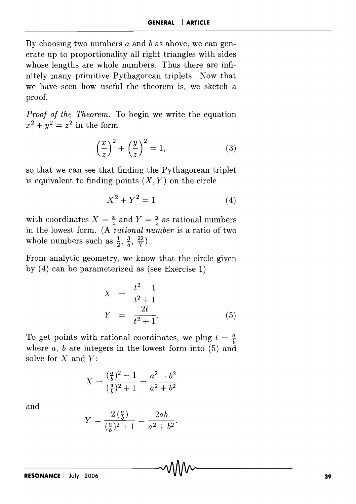By choosing two numbers *a* and b as above, we can generate up to proportionality all right triangles with sides whose lengths are whole numbers. Thus there are infinitely many primitive Pythagorean triplets. Now that we have seen how useful the theorem is, we sketch a proof.

*Proof of the Theorem.* To begin we write the equation  $x^2 + y^2 = z^2$  in the form

$$
\left(\frac{x}{z}\right)^2 + \left(\frac{y}{z}\right)^2 = 1,\tag{3}
$$

so that we can see that finding the Pythagorean triplet is equivalent to finding points  $(X, Y)$  on the circle

$$
X^2 + Y^2 = 1\tag{4}
$$

with coordinates  $X = \frac{x}{z}$  and  $Y = \frac{y}{z}$  as rational numbers in the lowest form. (A *rational number* is a ratio of two whole numbers such as  $\frac{1}{2}$ ,  $\frac{3}{5}$ ,  $\frac{22}{7}$ .

From analytic geometry, we know that the circle given by (4) can be parameterized as (see Exercise 1)

$$
X = \frac{t^2 - 1}{t^2 + 1}
$$
  
\n
$$
Y = \frac{2t}{t^2 + 1}.
$$
 (5)

To get points with rational coordinates, we plug  $t = \frac{a}{b}$ where *a*, *b* are integers in the lowest form into (5) and solve for X and *Y:* 

$$
X = \frac{\left(\frac{a}{b}\right)^2 - 1}{\left(\frac{a}{b}\right)^2 + 1} = \frac{a^2 - b^2}{a^2 + b^2}
$$

and

$$
Y = \frac{2\left(\frac{a}{b}\right)}{\left(\frac{a}{b}\right)^2 + 1} = \frac{2ab}{a^2 + b^2}
$$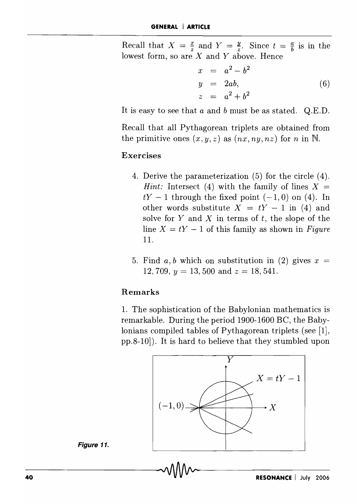Recall that  $X = \frac{x}{z}$  and  $Y = \frac{y}{z}$ . Since  $t = \frac{a}{b}$  is in the lowest form, so are X and Y above. Hence

$$
x = a2 - b2
$$
  
\n
$$
y = 2ab,
$$
  
\n
$$
z = a2 + b2
$$
 (6)

It is easy to see that a and *b* must be as stated. Q.E.D.

Recall that all Pythagorean triplets are obtained from the primitive ones  $(x, y, z)$  as  $(nx, ny, nz)$  for *n* in N.

#### Exercises

- 4. Derive the parameterization (5) for the circle (4). *Hint:* Intersect (4) with the family of lines  $X =$  $tY - 1$  through the fixed point  $(-1,0)$  on (4). In other words substitute  $X = tY - 1$  in (4) and solve for Y and X in terms of *t,* the slope of the line  $X = tY - 1$  of this family as shown in *Figure* 11.
- 5. Find  $a, b$  which on substitution in (2) gives  $x =$ 12, 709, *y* = 13, 500 and *z* = 18, 541.

#### Remarks

1. The sophistication of the Babylonian mathematics is remarkable. During the period 1900-1600 BC, the Babylonians compiled tables of Pythagorean triplets (see [1], pp.8-10]). It is hard to believe that they stumbled upon